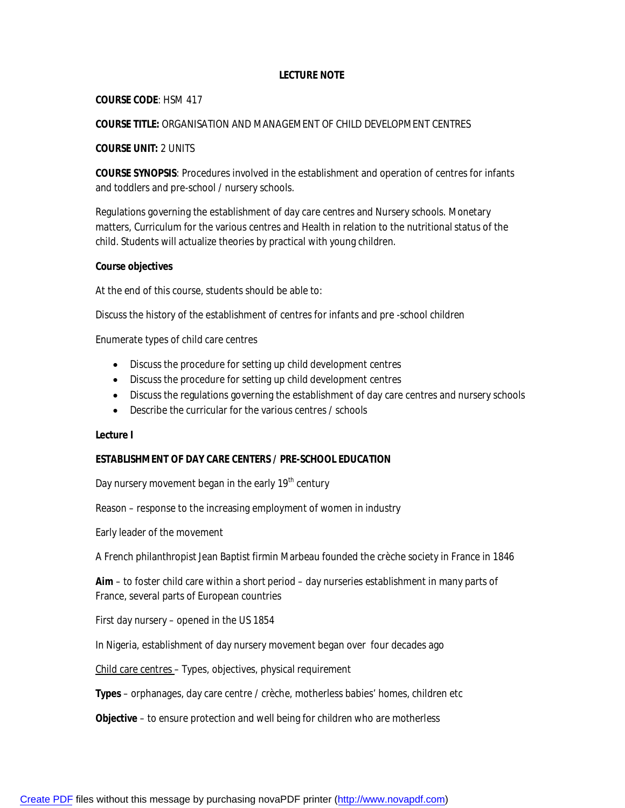# **LECTURE NOTE**

#### **COURSE CODE**: HSM 417

# **COURSE TITLE:** ORGANISATION AND MANAGEMENT OF CHILD DEVELOPMENT CENTRES

### **COURSE UNIT:** 2 UNITS

**COURSE SYNOPSIS**: Procedures involved in the establishment and operation of centres for infants and toddlers and pre-school / nursery schools.

Regulations governing the establishment of day care centres and Nursery schools. Monetary matters, Curriculum for the various centres and Health in relation to the nutritional status of the child. Students will actualize theories by practical with young children.

#### **Course objectives**

At the end of this course, students should be able to:

Discuss the history of the establishment of centres for infants and pre -school children

Enumerate types of child care centres

- Discuss the procedure for setting up child development centres
- Discuss the procedure for setting up child development centres
- Discuss the regulations governing the establishment of day care centres and nursery schools
- Describe the curricular for the various centres / schools

#### **Lecture I**

# **ESTABLISHMENT OF DAY CARE CENTERS / PRE-SCHOOL EDUCATION**

Day nursery movement began in the early 19<sup>th</sup> century

Reason – response to the increasing employment of women in industry

Early leader of the movement

A French philanthropist Jean Baptist firmin Marbeau founded the crèche society in France in 1846

**Aim** – to foster child care within a short period – day nurseries establishment in many parts of France, several parts of European countries

First day nursery – opened in the US 1854

In Nigeria, establishment of day nursery movement began over four decades ago

Child care centres – Types, objectives, physical requirement

**Types** – orphanages, day care centre / crèche, motherless babies' homes, children etc

**Objective** – to ensure protection and well being for children who are motherless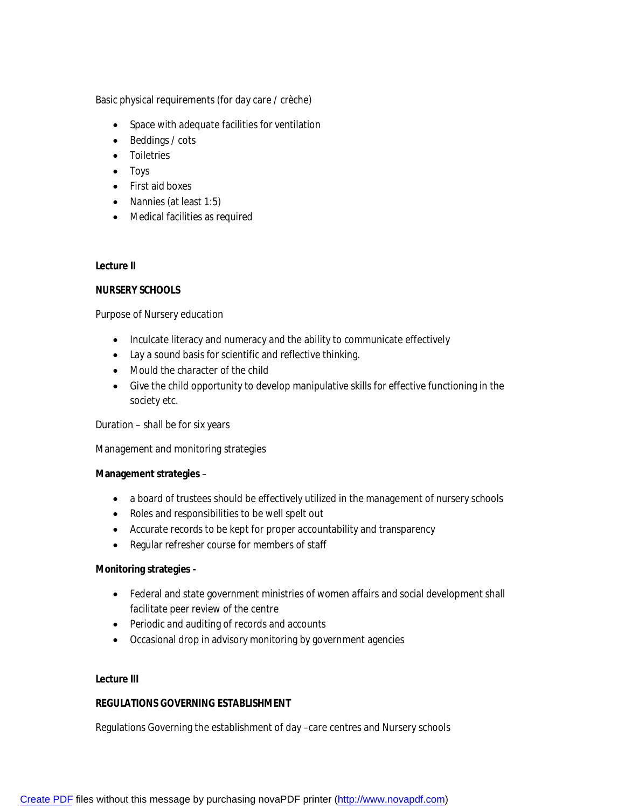Basic physical requirements (for day care / crèche)

- Space with adequate facilities for ventilation
- Beddings / cots
- Toiletries
- Toys
- First aid boxes
- Nannies (at least 1:5)
- Medical facilities as required

### **Lecture II**

# **NURSERY SCHOOLS**

Purpose of Nursery education

- Inculcate literacy and numeracy and the ability to communicate effectively
- Lay a sound basis for scientific and reflective thinking.
- Mould the character of the child
- Give the child opportunity to develop manipulative skills for effective functioning in the society etc.

Duration – shall be for six years

Management and monitoring strategies

#### **Management strategies** –

- a board of trustees should be effectively utilized in the management of nursery schools
- Roles and responsibilities to be well spelt out
- Accurate records to be kept for proper accountability and transparency
- Regular refresher course for members of staff

# **Monitoring strategies -**

- Federal and state government ministries of women affairs and social development shall facilitate peer review of the centre
- Periodic and auditing of records and accounts
- Occasional drop in advisory monitoring by government agencies

# **Lecture III**

# **REGULATIONS GOVERNING ESTABLISHMENT**

Regulations Governing the establishment of day –care centres and Nursery schools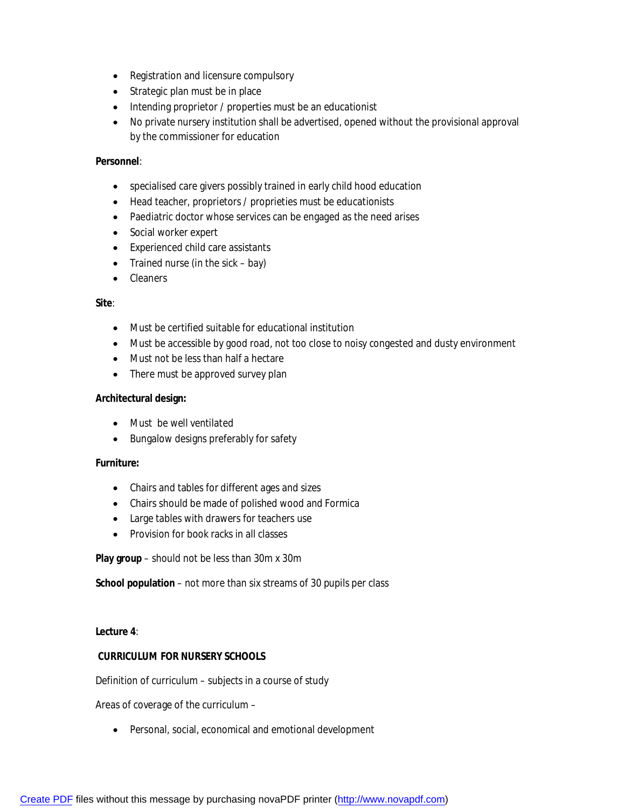- Registration and licensure compulsory
- Strategic plan must be in place
- Intending proprietor / properties must be an educationist
- No private nursery institution shall be advertised, opened without the provisional approval by the commissioner for education

# **Personnel**:

- specialised care givers possibly trained in early child hood education
- Head teacher, proprietors / proprieties must be educationists
- Paediatric doctor whose services can be engaged as the need arises
- Social worker expert
- Experienced child care assistants
- Trained nurse (in the sick  $-$  bay)
- Cleaners

#### **Site**:

- Must be certified suitable for educational institution
- Must be accessible by good road, not too close to noisy congested and dusty environment
- Must not be less than half a hectare
- There must be approved survey plan

#### **Architectural design:**

- Must be well ventilated
- Bungalow designs preferably for safety

# **Furniture:**

- Chairs and tables for different ages and sizes
- Chairs should be made of polished wood and Formica
- Large tables with drawers for teachers use
- Provision for book racks in all classes

**Play group** – should not be less than 30m x 30m

**School population** – not more than six streams of 30 pupils per class

**Lecture 4**:

# **CURRICULUM FOR NURSERY SCHOOLS**

Definition of curriculum – subjects in a course of study

Areas of coverage of the curriculum –

• Personal, social, economical and emotional development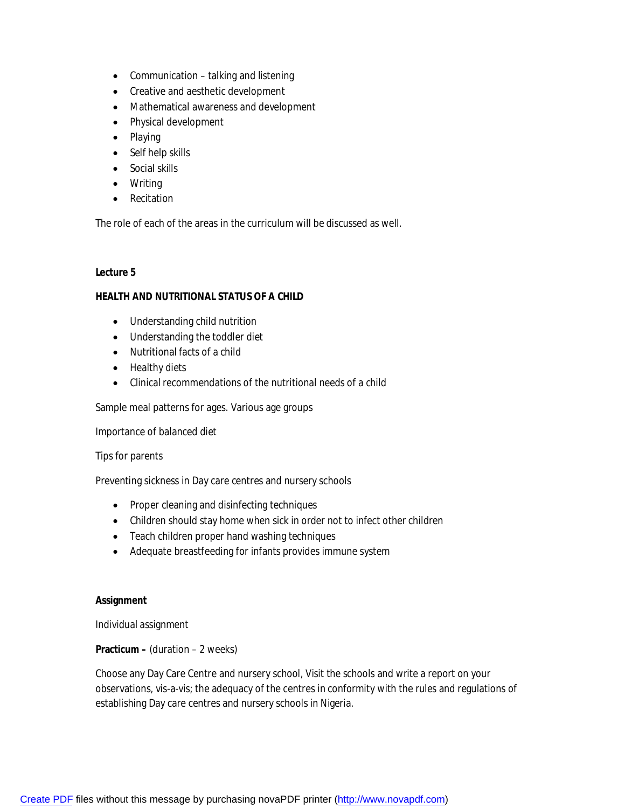- Communication talking and listening
- Creative and aesthetic development
- Mathematical awareness and development
- Physical development
- Playing
- Self help skills
- Social skills
- Writing
- Recitation

The role of each of the areas in the curriculum will be discussed as well.

#### **Lecture 5**

#### **HEALTH AND NUTRITIONAL STATUS OF A CHILD**

- Understanding child nutrition
- Understanding the toddler diet
- Nutritional facts of a child
- Healthy diets
- Clinical recommendations of the nutritional needs of a child

Sample meal patterns for ages. Various age groups

Importance of balanced diet

Tips for parents

Preventing sickness in Day care centres and nursery schools

- Proper cleaning and disinfecting techniques
- Children should stay home when sick in order not to infect other children
- Teach children proper hand washing techniques
- Adequate breastfeeding for infants provides immune system

#### **Assignment**

Individual assignment

#### **Practicum –** (duration – 2 weeks)

Choose any Day Care Centre and nursery school, Visit the schools and write a report on your observations, vis-a-vis; the adequacy of the centres in conformity with the rules and regulations of establishing Day care centres and nursery schools in Nigeria.